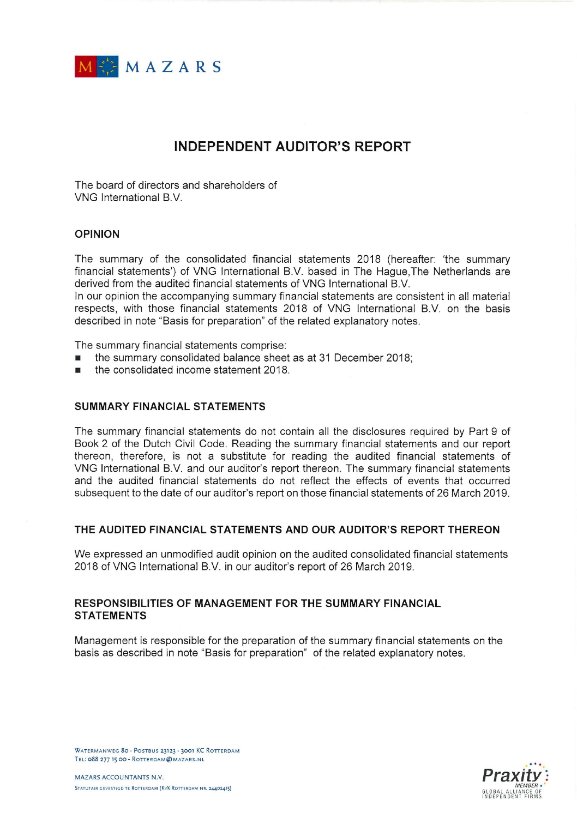

# **INDEPENDENT AUDITOR'S REPORT**

The board of directors and shareholders of VNG International B.V.

## OPINION

The summary of the Consolidated financial statements 2018 (hereafter: the summary financial statements') of VNG International B.V. based in The Hague, The Netherlands are derived from the audited financial statements of VNG International B.V.

In our opinion the accompanying summary financial statements are consistent in all material respects, with those financial statements 2018 of VNG International B.V. on the basis described in note "Basis for preparation" of the related explanatory notes.

The summary financial statements comprise:

- the summary Consolidated balance sheet as at 31 December 2018;
- the Consolidated income statement 2018.

## SUMMARY FINANCIAL STATEMENTS

The summary financial statements do not contain all the disclosures required by Part 9 of Book 2 of the Dutch Civil Code. Reading the summary financial statements and our report thereon, therefore, is not a substitute for reading the audited financial statements of VNG International B.V. and our auditor's report thereon. The summary financial statements and the audited financial statements do not reflect the effects of events that occurred subsequent to the date of our auditor's report on those financial statements of 26 March 2019.

## THE AUDITED FINANCIAL STATEMENTS AND OUR AUDITOR'S REPORT THEREON

We expressed an unmodified audit opinion on the audited Consolidated financial statements 2018 of VNG International B.V. in our auditor's report of 26 March 2019.

## RESPONSIBILITIES OF MANAGEMENT FOR THE SUMMARY FINANCIAL **STATEMENTS**

Management is responsible for the preparation of the summary financial statements on the basis as described in note "Basis for preparation" of the related explanatory notes.



WATERMANWEG 80 - POSTBUS 23123 - 3001 KC ROTTERDAM TEL: 088 277 15 00 - ROTTERDAM@MAZARS.NL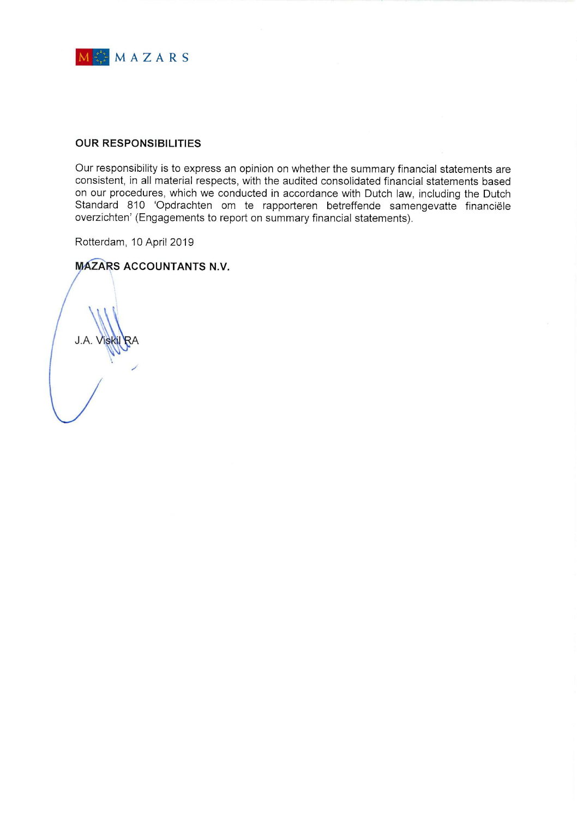

## OUR RESPONSIBILITIES

Our responsibility is to express an opinion on whether the summary financial statements are consistent, in all material respects, with the audited Consolidated financial statements based on our procedures, which we conducted in accordance with Dutch law, including the Dutch Standard 810 'Opdrachten om te rapporteren betreffende samengevatte financiële overzichten' (Engagements to report on summary financial statements).

Rotterdam, 10 April 2019

# **MAZARS ACCOUNTANTS N.V.**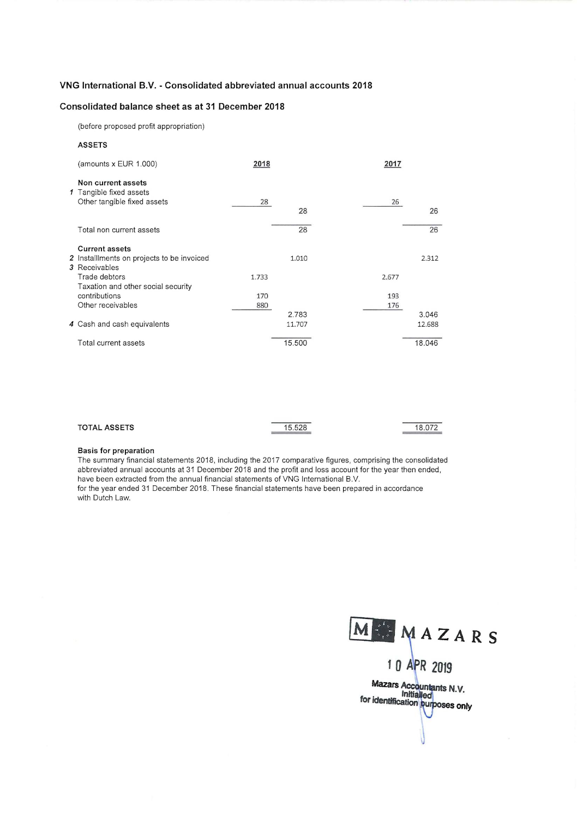### VNG International B.V. - Consolidated abbreviated annual accounts 2018

#### Consolidated balance sheet as at 31 December 2018

(before proposed profit appropriation)

#### ASSETS

| (amounts $x$ EUR 1.000)                                                             | 2018       |                 | 2017       |                 |
|-------------------------------------------------------------------------------------|------------|-----------------|------------|-----------------|
| Non current assets<br>1 Tangible fixed assets<br>Other tangible fixed assets        | 28         | 28              | 26         | 26              |
| Total non current assets                                                            |            | 28              |            | 26              |
| <b>Current assets</b><br>2 Installments on projects to be invoiced<br>3 Receivables |            | 1.010           |            | 2.312           |
| Trade debtors<br>Taxation and other social security                                 | 1.733      |                 | 2.677      |                 |
| contributions<br>Other receivables                                                  | 170<br>880 |                 | 193<br>176 |                 |
| 4 Cash and cash equivalents                                                         |            | 2.783<br>11.707 |            | 3.046<br>12.688 |
| Total current assets                                                                |            | 15.500          |            | 18.046          |

| <b>TOTAL ASSETS</b> | 15.528 | 18.072 |
|---------------------|--------|--------|
|                     |        |        |

#### Basis for preparation

The summary financial statements 2018, including the 2017 comparative figures, comprising the consolidated abbreviated annual accounts at 31 December 2018 and the profit and loss account for the year then ended, have been extracted from the annual financial statements of VNG International B.V. for the year ended 31 December 2018. These financial statements have been prepared in accordance

with Dutch Law.

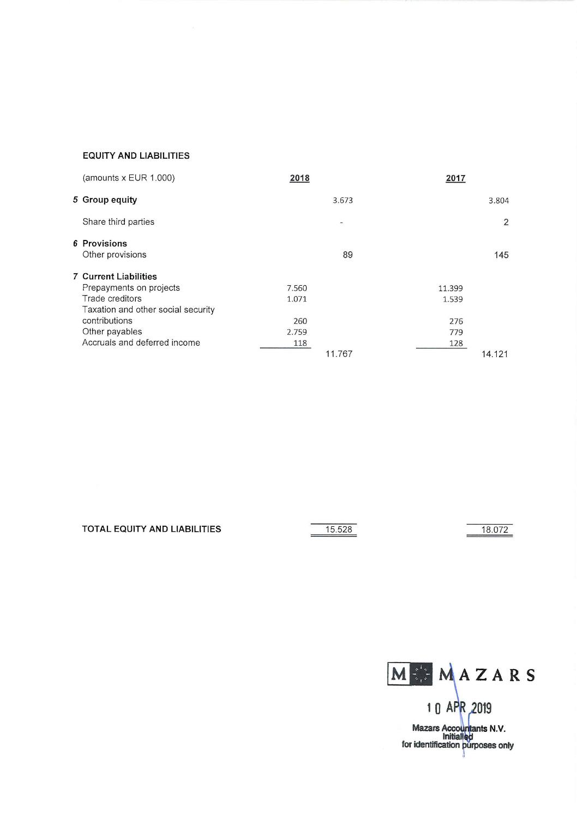### EQUITY AND LIABILITIES

| (amounts x EUR 1.000)              | 2018   | 2017   |                |
|------------------------------------|--------|--------|----------------|
| 5 Group equity                     | 3.673  |        | 3.804          |
| Share third parties                |        |        | $\overline{2}$ |
| 6 Provisions<br>Other provisions   | 89     |        | 145            |
| <b>7 Current Liabilities</b>       |        |        |                |
| Prepayments on projects            | 7.560  | 11.399 |                |
| Trade creditors                    | 1.071  | 1.539  |                |
| Taxation and other social security |        |        |                |
| contributions                      | 260    | 276    |                |
| Other payables                     | 2.759  | 779    |                |
| Accruals and deferred income       | 118    | 128    |                |
|                                    | 11.767 |        | 14.121         |

TOTAL EQUITY AND LIABILITIES 15.528 18.072